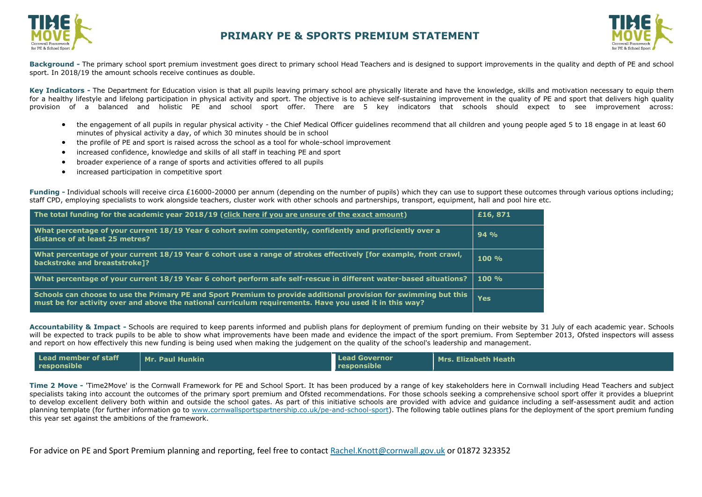



**Background -** The primary school sport premium investment goes direct to primary school Head Teachers and is designed to support improvements in the quality and depth of PE and school sport. In 2018/19 the amount schools receive continues as double.

Key Indicators - The Department for Education vision is that all pupils leaving primary school are physically literate and have the knowledge, skills and motivation necessary to equip them for a healthy lifestyle and lifelong participation in physical activity and sport. The objective is to achieve self-sustaining improvement in the quality of PE and sport that delivers high quality provision of a balanced and holistic PE and school sport offer. There are 5 key indicators that schools should expect to see improvement across:

- the engagement of all pupils in regular physical activity the Chief Medical Officer guidelines recommend that all children and young people aged 5 to 18 engage in at least 60 minutes of physical activity a day, of which 30 minutes should be in school
- the profile of PE and sport is raised across the school as a tool for whole-school improvement
- increased confidence, knowledge and skills of all staff in teaching PE and sport
- broader experience of a range of sports and activities offered to all pupils
- increased participation in competitive sport

**Funding -** Individual schools will receive circa £16000-20000 per annum (depending on the number of pupils) which they can use to support these outcomes through various options including; staff CPD, employing specialists to work alongside teachers, cluster work with other schools and partnerships, transport, equipment, hall and pool hire etc.

| The total funding for the academic year 2018/19 (click here if you are unsure of the exact amount)                                                                                                                          | £16,871  |
|-----------------------------------------------------------------------------------------------------------------------------------------------------------------------------------------------------------------------------|----------|
| What percentage of your current 18/19 Year 6 cohort swim competently, confidently and proficiently over a<br>distance of at least 25 metres?                                                                                | 94%      |
| What percentage of your current 18/19 Year 6 cohort use a range of strokes effectively [for example, front crawl,<br>backstroke and breaststroke]?                                                                          | $100 \%$ |
| What percentage of your current 18/19 Year 6 cohort perform safe self-rescue in different water-based situations?                                                                                                           | $100 \%$ |
| Schools can choose to use the Primary PE and Sport Premium to provide additional provision for swimming but this<br>must be for activity over and above the national curriculum requirements. Have you used it in this way? | Yes      |

**Accountability & Impact -** Schools are required to keep parents informed and publish plans for deployment of premium funding on their website by 31 July of each academic year. Schools will be expected to track pupils to be able to show what improvements have been made and [evidence the impact o](http://www.cornwallsportspartnership.co.uk/)f the sport premium. From September 2013, [Ofsted](http://www.ofsted.gov.uk/inspection-reports/our-expert-knowledge/physical-education) inspectors will assess and report on how effectively this new funding is being used when making the judgement on the quality of the school's leadership and management.

| Lead member of staff | Mr. Paul Hunkin | <b>Lead Governor</b> | Mrs. Elizabeth Heath |
|----------------------|-----------------|----------------------|----------------------|
| responsible          |                 | responsible          |                      |

**Time 2 Move -** 'Time2Move' is the Cornwall Framework for PE and School Sport. It has been produced by a range of key stakeholders here in Cornwall including Head Teachers and subject specialists taking into account the outcomes of the primary sport premium and Ofsted recommendations. For those schools seeking a comprehensive school sport offer it provides a blueprint to develop excellent delivery both within and outside the school gates. As part of this initiative schools are provided with advice and guidance including a self-assessment audit and action planning template (for further information go to [www.cornwallsportspartnership.co.uk/pe-and-school-sport\)](http://www.cornwallsportspartnership.co.uk/pe-and-school-sport). The following table outlines plans for the deployment of the sport premium funding this year set against the ambitions of the framework.

For advice on PE and Sport Premium planning and reporting, feel free to contact [Rachel.Knott@cornwall.gov.uk](mailto:Rachel.Knott@cornwall.gov.uk) or 01872 323352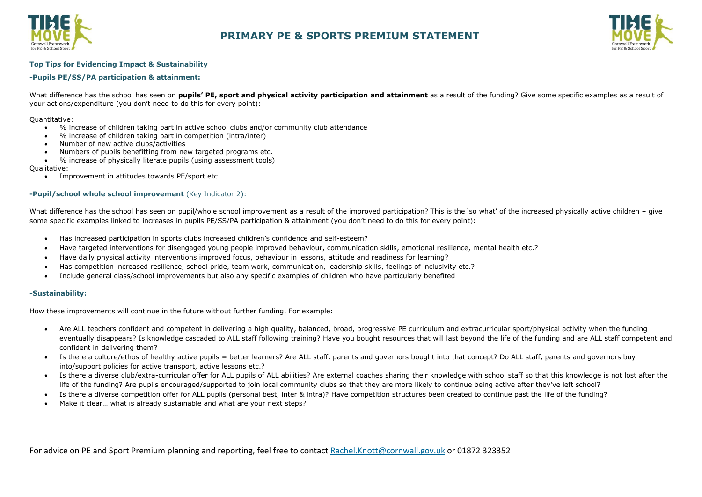



#### **Top Tips for Evidencing Impact & Sustainability**

#### **-Pupils PE/SS/PA participation & attainment:**

What difference has the school has seen on **pupils' PE, sport and physical activity participation and attainment** as a result of the funding? Give some specific examples as a result of your actions/expenditure (you don't need to do this for every point):

Quantitative:

- % increase of children taking part in active school clubs and/or community club attendance
- % increase of children taking part in competition (intra/inter)
- Number of new active clubs/activities
- Numbers of pupils benefitting from new targeted programs etc.
- % increase of physically literate pupils (using assessment tools)

Qualitative:

Improvement in attitudes towards PE/sport etc.

#### **-Pupil/school whole school improvement** (Key Indicator 2):

What difference has the school has seen on pupil/whole school improvement as a result of the improved participation? This is the 'so what' of the increased physically active children – give some specific examples linked to increases in pupils PE/SS/PA participation & attainment (you don't need to do this for every point):

- Has increased participation in sports clubs increased children's confidence and self-esteem?
- Have targeted interventions for disengaged young people improved behaviour, communication skills, emotional resilience, mental health etc.?
- Have daily physical activity interventions improved focus, behaviour in lessons, attitude and readiness for learning?
- Has competition increased resilience, school pride, team work, communication, leadership skills, feelings of inclusivity etc.?
- Include general class/school improvements but also any specific examples of children who have particularly benefited

#### **-Sustainability:**

How these improvements will continue in the future without further funding. For example:

- Are ALL teachers confident and competent in delivering a high quality, balanced, broad, progressive PE curriculum and extracurricular sport/physical activity when the funding eventually disappears? Is knowledge cascaded to ALL staff following training? Have you bought resources that will last beyond the life of the funding and are ALL staff competent and confident in delivering them?
- Is there a culture/ethos of healthy active pupils = better learners? Are ALL staff, parents and governors bought into that concept? Do ALL staff, parents and governors buy into/support policies for active transport, active lessons etc.?
- Is there a diverse club/extra-curricular offer for ALL pupils of ALL abilities? Are external coaches sharing their knowledge with school staff so that this knowledge is not lost after the life of the funding? Are pupils encouraged/supported to join local community clubs so that they are more likely to continue being active after they've left school?
- Is there a diverse competition offer for ALL pupils (personal best, inter & intra)? Have competition structures been created to continue past the life of the funding?
- Make it clear… what is already sustainable and what are your next steps?

For advice on PE and Sport Premium planning and reporting, feel free to contact [Rachel.Knott@cornwall.gov.uk](mailto:Rachel.Knott@cornwall.gov.uk) or 01872 323352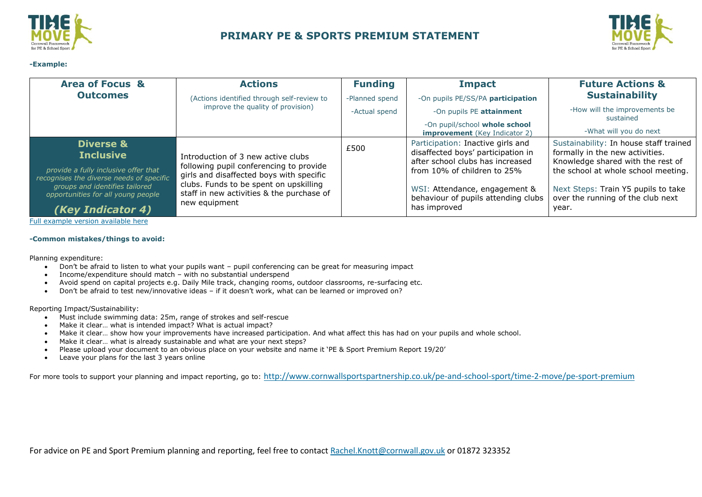

**-Example:**

## **PRIMARY PE & SPORTS PREMIUM STATEMENT**



| <b>Area of Focus &amp;</b>                                                       | <b>Actions</b>                                                                                                                                                             | <b>Funding</b> | <b>Impact</b>                                                                                               | <b>Future Actions &amp;</b>                                                                                    |
|----------------------------------------------------------------------------------|----------------------------------------------------------------------------------------------------------------------------------------------------------------------------|----------------|-------------------------------------------------------------------------------------------------------------|----------------------------------------------------------------------------------------------------------------|
| <b>Outcomes</b>                                                                  | (Actions identified through self-review to                                                                                                                                 | -Planned spend | -On pupils PE/SS/PA participation                                                                           | <b>Sustainability</b>                                                                                          |
|                                                                                  | improve the quality of provision)                                                                                                                                          | -Actual spend  | -On pupils PE attainment                                                                                    | -How will the improvements be<br>sustained                                                                     |
|                                                                                  |                                                                                                                                                                            |                | -On pupil/school whole school<br><b>improvement</b> (Key Indicator 2)                                       | -What will you do next                                                                                         |
| <b>Diverse &amp;</b><br><b>Inclusive</b>                                         | Introduction of 3 new active clubs                                                                                                                                         | £500           | Participation: Inactive girls and<br>disaffected boys' participation in<br>after school clubs has increased | Sustainability: In house staff trained<br>formally in the new activities.<br>Knowledge shared with the rest of |
| provide a fully inclusive offer that<br>recognises the diverse needs of specific | following pupil conferencing to provide<br>girls and disaffected boys with specific<br>clubs. Funds to be spent on upskilling<br>staff in new activities & the purchase of |                | from 10% of children to 25%                                                                                 | the school at whole school meeting.                                                                            |
| groups and identifies tailored<br>opportunities for all young people             |                                                                                                                                                                            |                | WSI: Attendance, engagement &<br>behaviour of pupils attending clubs                                        | Next Steps: Train Y5 pupils to take<br>over the running of the club next                                       |
| (Key Indicator 4)                                                                | new equipment                                                                                                                                                              |                | has improved                                                                                                | year.                                                                                                          |

[Full example version available here](https://sportengland.sharepoint.com/:x:/r/sites/Insight365/DRE/_layouts/15/Doc.aspx?sourcedoc=%7bbf83f43f-d641-4792-94eb-99cca0368ef2%7d&action=edit&activeCell=)

#### **-Common mistakes/things to avoid:**

Planning expenditure:

- Don't be afraid to listen to what your pupils want pupil conferencing can be great for measuring impact
- Income/expenditure should match with no substantial underspend
- Avoid spend on capital projects e.g. Daily Mile track, changing rooms, outdoor classrooms, re-surfacing etc.
- Don't be afraid to test new/innovative ideas if it doesn't work, what can be learned or improved on?

Reporting Impact/Sustainability:

- Must include swimming data: 25m, range of strokes and self-rescue
- Make it clear… what is intended impact? What is actual impact?
- Make it clear… show how your improvements have increased participation. And what affect this has had on your pupils and whole school.
- Make it clear… what is already sustainable and what are your next steps?
- Please upload your document to an obvious place on your website and name it 'PE & Sport Premium Report 19/20'
- Leave your plans for the last 3 years online

For more tools to support your planning and impact reporting, go to: <http://www.cornwallsportspartnership.co.uk/pe-and-school-sport/time-2-move/pe-sport-premium>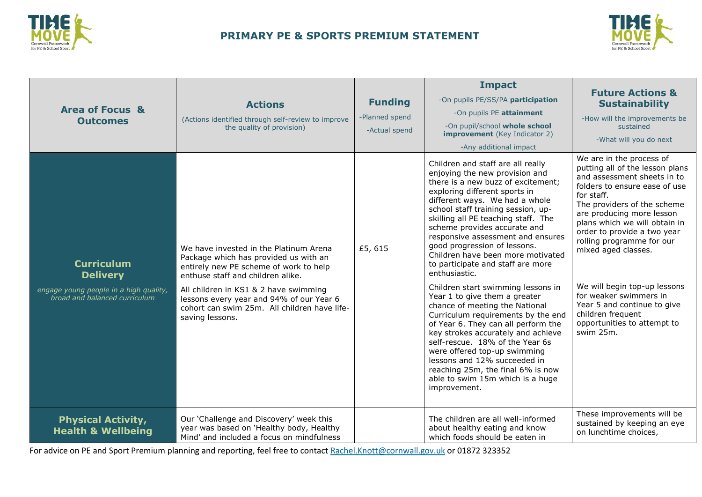



| <b>Area of Focus &amp;</b><br><b>Outcomes</b>                                                                   | <b>Actions</b><br>(Actions identified through self-review to improve<br>the quality of provision)                                                                                                                                                                                                                      | <b>Funding</b><br>-Planned spend<br>-Actual spend | <b>Impact</b><br>-On pupils PE/SS/PA participation<br>-On pupils PE attainment<br>-On pupil/school whole school<br><b>improvement</b> (Key Indicator 2)<br>-Any additional impact                                                                                                                                                                                                                                                                                                                                                                                                                                                                                                                                                                                                                                                                                                 | <b>Future Actions &amp;</b><br><b>Sustainability</b><br>-How will the improvements be<br>sustained<br>-What will you do next                                                                                                                                                                                                                                                                                                                                                        |
|-----------------------------------------------------------------------------------------------------------------|------------------------------------------------------------------------------------------------------------------------------------------------------------------------------------------------------------------------------------------------------------------------------------------------------------------------|---------------------------------------------------|-----------------------------------------------------------------------------------------------------------------------------------------------------------------------------------------------------------------------------------------------------------------------------------------------------------------------------------------------------------------------------------------------------------------------------------------------------------------------------------------------------------------------------------------------------------------------------------------------------------------------------------------------------------------------------------------------------------------------------------------------------------------------------------------------------------------------------------------------------------------------------------|-------------------------------------------------------------------------------------------------------------------------------------------------------------------------------------------------------------------------------------------------------------------------------------------------------------------------------------------------------------------------------------------------------------------------------------------------------------------------------------|
| <b>Curriculum</b><br><b>Delivery</b><br>engage young people in a high quality,<br>broad and balanced curriculum | We have invested in the Platinum Arena<br>Package which has provided us with an<br>entirely new PE scheme of work to help<br>enthuse staff and children alike.<br>All children in KS1 & 2 have swimming<br>lessons every year and 94% of our Year 6<br>cohort can swim 25m. All children have life-<br>saving lessons. | £5,615                                            | Children and staff are all really<br>enjoying the new provision and<br>there is a new buzz of excitement;<br>exploring different sports in<br>different ways. We had a whole<br>school staff training session, up-<br>skilling all PE teaching staff. The<br>scheme provides accurate and<br>responsive assessment and ensures<br>good progression of lessons.<br>Children have been more motivated<br>to participate and staff are more<br>enthusiastic.<br>Children start swimming lessons in<br>Year 1 to give them a greater<br>chance of meeting the National<br>Curriculum requirements by the end<br>of Year 6. They can all perform the<br>key strokes accurately and achieve<br>self-rescue. 18% of the Year 6s<br>were offered top-up swimming<br>lessons and 12% succeeded in<br>reaching 25m, the final 6% is now<br>able to swim 15m which is a huge<br>improvement. | We are in the process of<br>putting all of the lesson plans<br>and assessment sheets in to<br>folders to ensure ease of use<br>for staff.<br>The providers of the scheme<br>are producing more lesson<br>plans which we will obtain in<br>order to provide a two year<br>rolling programme for our<br>mixed aged classes.<br>We will begin top-up lessons<br>for weaker swimmers in<br>Year 5 and continue to give<br>children frequent<br>opportunities to attempt to<br>swim 25m. |
| <b>Physical Activity,</b><br><b>Health &amp; Wellbeing</b>                                                      | Our 'Challenge and Discovery' week this<br>year was based on 'Healthy body, Healthy<br>Mind' and included a focus on mindfulness                                                                                                                                                                                       |                                                   | The children are all well-informed<br>about healthy eating and know<br>which foods should be eaten in                                                                                                                                                                                                                                                                                                                                                                                                                                                                                                                                                                                                                                                                                                                                                                             | These improvements will be<br>sustained by keeping an eye<br>on lunchtime choices,                                                                                                                                                                                                                                                                                                                                                                                                  |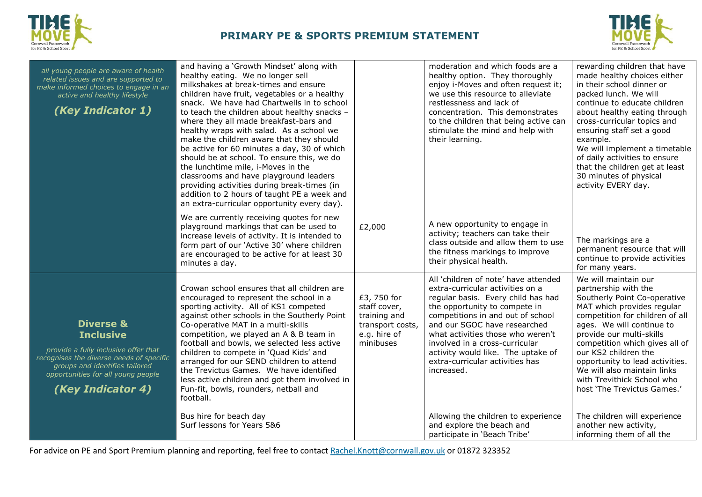



| all young people are aware of health<br>related issues and are supported to<br>make informed choices to engage in an<br>active and healthy lifestyle<br>(Key Indicator 1)                                                 | and having a 'Growth Mindset' along with<br>healthy eating. We no longer sell<br>milkshakes at break-times and ensure<br>children have fruit, vegetables or a healthy<br>snack. We have had Chartwells in to school<br>to teach the children about healthy snacks -<br>where they all made breakfast-bars and<br>healthy wraps with salad. As a school we<br>make the children aware that they should<br>be active for 60 minutes a day, 30 of which<br>should be at school. To ensure this, we do<br>the lunchtime mile, i-Moves in the<br>classrooms and have playground leaders<br>providing activities during break-times (in<br>addition to 2 hours of taught PE a week and<br>an extra-curricular opportunity every day). |                                                                                              | moderation and which foods are a<br>healthy option. They thoroughly<br>enjoy i-Moves and often request it;<br>we use this resource to alleviate<br>restlessness and lack of<br>concentration. This demonstrates<br>to the children that being active can<br>stimulate the mind and help with<br>their learning.                                                                                                           | rewarding children that have<br>made healthy choices either<br>in their school dinner or<br>packed lunch. We will<br>continue to educate children<br>about healthy eating through<br>cross-curricular topics and<br>ensuring staff set a good<br>example.<br>We will implement a timetable<br>of daily activities to ensure<br>that the children get at least<br>30 minutes of physical<br>activity EVERY day.                  |
|---------------------------------------------------------------------------------------------------------------------------------------------------------------------------------------------------------------------------|---------------------------------------------------------------------------------------------------------------------------------------------------------------------------------------------------------------------------------------------------------------------------------------------------------------------------------------------------------------------------------------------------------------------------------------------------------------------------------------------------------------------------------------------------------------------------------------------------------------------------------------------------------------------------------------------------------------------------------|----------------------------------------------------------------------------------------------|---------------------------------------------------------------------------------------------------------------------------------------------------------------------------------------------------------------------------------------------------------------------------------------------------------------------------------------------------------------------------------------------------------------------------|---------------------------------------------------------------------------------------------------------------------------------------------------------------------------------------------------------------------------------------------------------------------------------------------------------------------------------------------------------------------------------------------------------------------------------|
|                                                                                                                                                                                                                           | We are currently receiving quotes for new<br>playground markings that can be used to<br>increase levels of activity. It is intended to<br>form part of our 'Active 30' where children<br>are encouraged to be active for at least 30<br>minutes a day.                                                                                                                                                                                                                                                                                                                                                                                                                                                                          | £2,000                                                                                       | A new opportunity to engage in<br>activity; teachers can take their<br>class outside and allow them to use<br>the fitness markings to improve<br>their physical health.                                                                                                                                                                                                                                                   | The markings are a<br>permanent resource that will<br>continue to provide activities<br>for many years.                                                                                                                                                                                                                                                                                                                         |
| <b>Diverse &amp;</b><br><b>Inclusive</b><br>provide a fully inclusive offer that<br>recognises the diverse needs of specific<br>groups and identifies tailored<br>opportunities for all young people<br>(Key Indicator 4) | Crowan school ensures that all children are<br>encouraged to represent the school in a<br>sporting activity. All of KS1 competed<br>against other schools in the Southerly Point<br>Co-operative MAT in a multi-skills<br>competition, we played an A & B team in<br>football and bowls, we selected less active<br>children to compete in 'Quad Kids' and<br>arranged for our SEND children to attend<br>the Trevictus Games. We have identified<br>less active children and got them involved in<br>Fun-fit, bowls, rounders, netball and<br>football.<br>Bus hire for beach day                                                                                                                                              | £3, 750 for<br>staff cover,<br>training and<br>transport costs,<br>e.g. hire of<br>minibuses | All 'children of note' have attended<br>extra-curricular activities on a<br>regular basis. Every child has had<br>the opportunity to compete in<br>competitions in and out of school<br>and our SGOC have researched<br>what activities those who weren't<br>involved in a cross-curricular<br>activity would like. The uptake of<br>extra-curricular activities has<br>increased.<br>Allowing the children to experience | We will maintain our<br>partnership with the<br>Southerly Point Co-operative<br>MAT which provides regular<br>competition for children of all<br>ages. We will continue to<br>provide our multi-skills<br>competition which gives all of<br>our KS2 children the<br>opportunity to lead activities.<br>We will also maintain links<br>with Trevithick School who<br>host 'The Trevictus Games.'<br>The children will experience |
|                                                                                                                                                                                                                           | Surf lessons for Years 5&6                                                                                                                                                                                                                                                                                                                                                                                                                                                                                                                                                                                                                                                                                                      |                                                                                              | and explore the beach and<br>participate in 'Beach Tribe'                                                                                                                                                                                                                                                                                                                                                                 | another new activity,<br>informing them of all the                                                                                                                                                                                                                                                                                                                                                                              |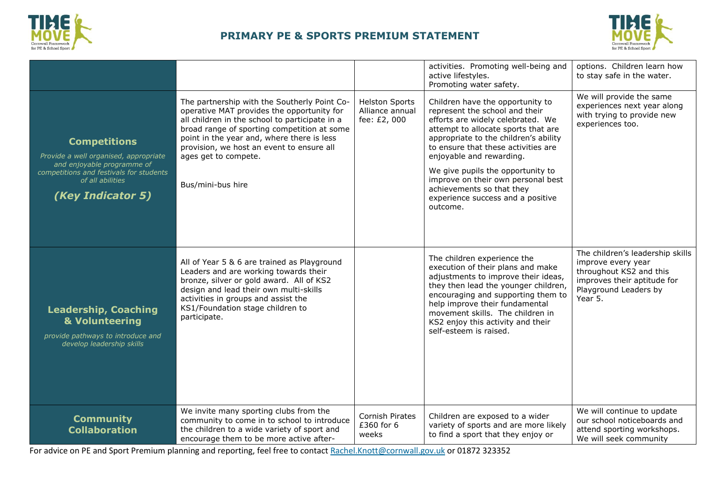



|                                                                                                                                                                                |                                                                                                                                                                                                                                                                                                                                     |                                                          | activities. Promoting well-being and<br>active lifestyles.<br>Promoting water safety.                                                                                                                                                                                                                                                                                                                               | options. Children learn how<br>to stay safe in the water.                                                                                            |
|--------------------------------------------------------------------------------------------------------------------------------------------------------------------------------|-------------------------------------------------------------------------------------------------------------------------------------------------------------------------------------------------------------------------------------------------------------------------------------------------------------------------------------|----------------------------------------------------------|---------------------------------------------------------------------------------------------------------------------------------------------------------------------------------------------------------------------------------------------------------------------------------------------------------------------------------------------------------------------------------------------------------------------|------------------------------------------------------------------------------------------------------------------------------------------------------|
| <b>Competitions</b><br>Provide a well organised, appropriate<br>and enjoyable programme of<br>competitions and festivals for students<br>of all abilities<br>(Key Indicator 5) | The partnership with the Southerly Point Co-<br>operative MAT provides the opportunity for<br>all children in the school to participate in a<br>broad range of sporting competition at some<br>point in the year and, where there is less<br>provision, we host an event to ensure all<br>ages get to compete.<br>Bus/mini-bus hire | <b>Helston Sports</b><br>Alliance annual<br>fee: £2, 000 | Children have the opportunity to<br>represent the school and their<br>efforts are widely celebrated. We<br>attempt to allocate sports that are<br>appropriate to the children's ability<br>to ensure that these activities are<br>enjoyable and rewarding.<br>We give pupils the opportunity to<br>improve on their own personal best<br>achievements so that they<br>experience success and a positive<br>outcome. | We will provide the same<br>experiences next year along<br>with trying to provide new<br>experiences too.                                            |
| <b>Leadership, Coaching</b><br>& Volunteering<br>provide pathways to introduce and<br>develop leadership skills                                                                | All of Year 5 & 6 are trained as Playground<br>Leaders and are working towards their<br>bronze, silver or gold award. All of KS2<br>design and lead their own multi-skills<br>activities in groups and assist the<br>KS1/Foundation stage children to<br>participate.                                                               |                                                          | The children experience the<br>execution of their plans and make<br>adjustments to improve their ideas,<br>they then lead the younger children,<br>encouraging and supporting them to<br>help improve their fundamental<br>movement skills. The children in<br>KS2 enjoy this activity and their<br>self-esteem is raised.                                                                                          | The children's leadership skills<br>improve every year<br>throughout KS2 and this<br>improves their aptitude for<br>Playground Leaders by<br>Year 5. |
| <b>Community</b><br><b>Collaboration</b>                                                                                                                                       | We invite many sporting clubs from the<br>community to come in to school to introduce<br>the children to a wide variety of sport and<br>encourage them to be more active after-                                                                                                                                                     | Cornish Pirates<br>£360 for 6<br>weeks                   | Children are exposed to a wider<br>variety of sports and are more likely<br>to find a sport that they enjoy or                                                                                                                                                                                                                                                                                                      | We will continue to update<br>our school noticeboards and<br>attend sporting workshops.<br>We will seek community                                    |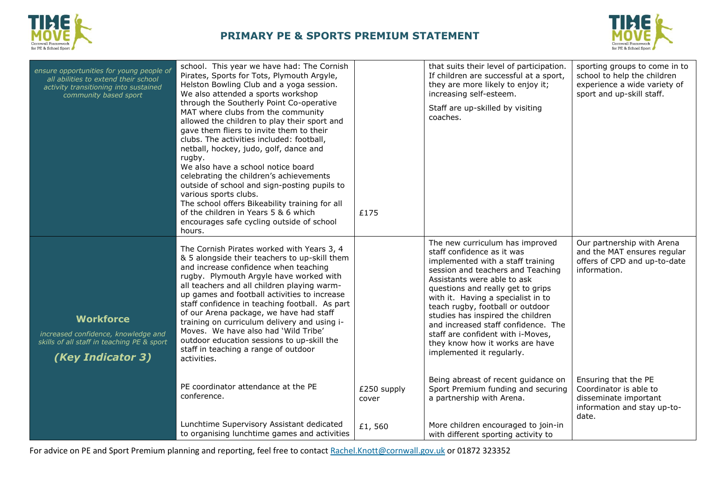



| ensure opportunities for young people of<br>all abilities to extend their school<br>activity transitioning into sustained<br>community based sport | school. This year we have had: The Cornish<br>Pirates, Sports for Tots, Plymouth Argyle,<br>Helston Bowling Club and a yoga session.<br>We also attended a sports workshop<br>through the Southerly Point Co-operative<br>MAT where clubs from the community<br>allowed the children to play their sport and<br>gave them fliers to invite them to their<br>clubs. The activities included: football,<br>netball, hockey, judo, golf, dance and<br>rugby.<br>We also have a school notice board<br>celebrating the children's achievements<br>outside of school and sign-posting pupils to<br>various sports clubs.<br>The school offers Bikeability training for all<br>of the children in Years 5 & 6 which<br>encourages safe cycling outside of school<br>hours. | £175                           | that suits their level of participation.<br>If children are successful at a sport,<br>they are more likely to enjoy it;<br>increasing self-esteem.<br>Staff are up-skilled by visiting<br>coaches.                                                                                                                                                                                                                                                                     | sporting groups to come in to<br>school to help the children<br>experience a wide variety of<br>sport and up-skill staff. |
|----------------------------------------------------------------------------------------------------------------------------------------------------|----------------------------------------------------------------------------------------------------------------------------------------------------------------------------------------------------------------------------------------------------------------------------------------------------------------------------------------------------------------------------------------------------------------------------------------------------------------------------------------------------------------------------------------------------------------------------------------------------------------------------------------------------------------------------------------------------------------------------------------------------------------------|--------------------------------|------------------------------------------------------------------------------------------------------------------------------------------------------------------------------------------------------------------------------------------------------------------------------------------------------------------------------------------------------------------------------------------------------------------------------------------------------------------------|---------------------------------------------------------------------------------------------------------------------------|
| <b>Workforce</b><br>increased confidence, knowledge and<br>skills of all staff in teaching PE & sport<br>(Key Indicator 3)                         | The Cornish Pirates worked with Years 3, 4<br>& 5 alongside their teachers to up-skill them<br>and increase confidence when teaching<br>rugby. Plymouth Argyle have worked with<br>all teachers and all children playing warm-<br>up games and football activities to increase<br>staff confidence in teaching football. As part<br>of our Arena package, we have had staff<br>training on curriculum delivery and using i-<br>Moves. We have also had 'Wild Tribe'<br>outdoor education sessions to up-skill the<br>staff in teaching a range of outdoor<br>activities.                                                                                                                                                                                             |                                | The new curriculum has improved<br>staff confidence as it was<br>implemented with a staff training<br>session and teachers and Teaching<br>Assistants were able to ask<br>questions and really get to grips<br>with it. Having a specialist in to<br>teach rugby, football or outdoor<br>studies has inspired the children<br>and increased staff confidence. The<br>staff are confident with i-Moves,<br>they know how it works are have<br>implemented it regularly. | Our partnership with Arena<br>and the MAT ensures regular<br>offers of CPD and up-to-date<br>information.                 |
|                                                                                                                                                    | PE coordinator attendance at the PE<br>conference.<br>Lunchtime Supervisory Assistant dedicated<br>to organising lunchtime games and activities                                                                                                                                                                                                                                                                                                                                                                                                                                                                                                                                                                                                                      | £250 supply<br>cover<br>£1,560 | Being abreast of recent guidance on<br>Sport Premium funding and securing<br>a partnership with Arena.<br>More children encouraged to join-in<br>with different sporting activity to                                                                                                                                                                                                                                                                                   | Ensuring that the PE<br>Coordinator is able to<br>disseminate important<br>information and stay up-to-<br>date.           |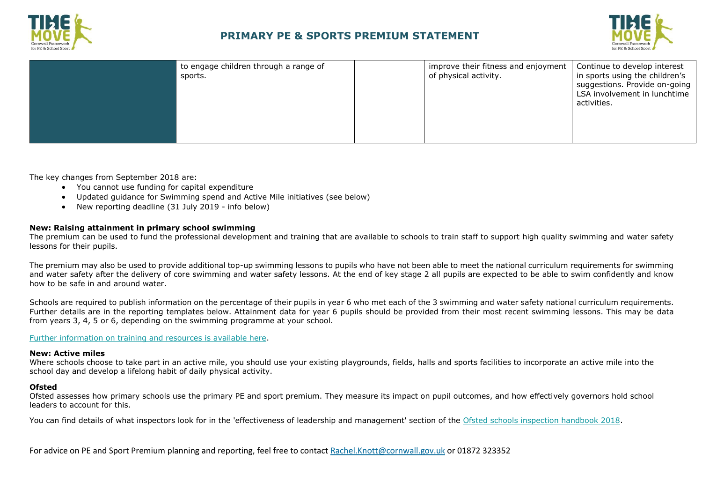



| to engage children through a range of | improve their fitness and enjoyment | Continue to develop interest                                                                                   |
|---------------------------------------|-------------------------------------|----------------------------------------------------------------------------------------------------------------|
| sports.                               | of physical activity.               | in sports using the children's<br>suggestions. Provide on-going<br>LSA involvement in lunchtime<br>activities. |

The key changes from September 2018 are:

- You cannot use funding for capital expenditure
- Updated guidance for Swimming spend and Active Mile initiatives (see below)
- New reporting deadline (31 July 2019 info below)

#### **New: Raising attainment in primary school swimming**

The premium can be used to fund the professional development and training that are available to schools to train staff to support high quality swimming and water safety lessons for their pupils.

The premium may also be used to provide additional top-up swimming lessons to pupils who have not been able to meet the national curriculum requirements for swimming and water safety after the delivery of core swimming and water safety lessons. At the end of key stage 2 all pupils are expected to be able to swim confidently and know how to be safe in and around water.

Schools are required to publish information on the percentage of their pupils in year 6 who met each of the 3 swimming and water safety national curriculum requirements. Further details are in the reporting templates below. Attainment data for year 6 pupils should be provided from their most recent swimming lessons. This may be data from years 3, 4, 5 or 6, depending on the swimming programme at your school.

[Further information on training and resources is available here.](https://www.swimming.org/schools/)

#### **New: Active miles**

Where schools choose to take part in an active mile, you should use your existing playgrounds, fields, halls and sports facilities to incorporate an active mile into the school day and develop a lifelong habit of daily physical activity.

#### **Ofsted**

Ofsted assesses how primary schools use the primary PE and sport premium. They measure its impact on pupil outcomes, and how effectively governors hold school leaders to account for this.

You can find details of what inspectors look for in the 'effectiveness of leadership and management' section of the [Ofsted schools inspection handbook 2018.](https://www.gov.uk/government/publications/school-inspection-handbook-from-september-2015)

For advice on PE and Sport Premium planning and reporting, feel free to contact [Rachel.Knott@cornwall.gov.uk](mailto:Rachel.Knott@cornwall.gov.uk) or 01872 323352